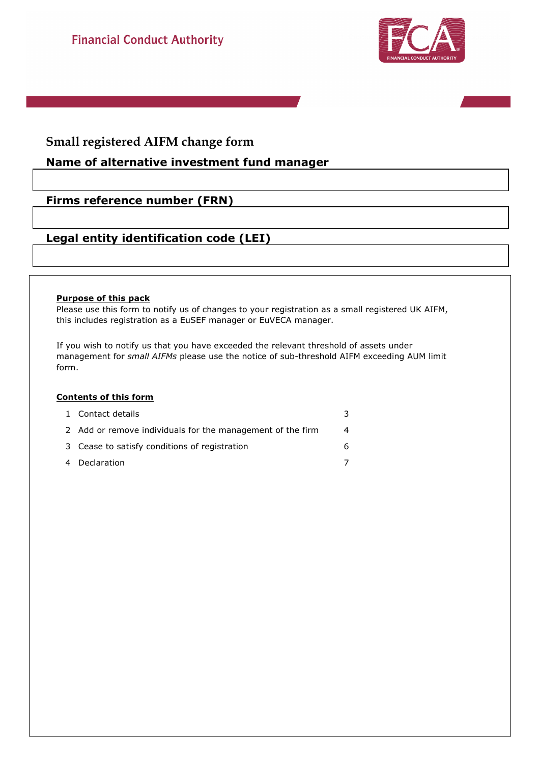

# **Small registered AIFM change form**

## **Name of alternative investment fund manager**

## **Firms reference number (FRN)**

## **Legal entity identification code (LEI)**

#### **Purpose of this pack**

Please use this form to notify us of changes to your registration as a small registered UK AIFM, this includes registration as a EuSEF manager or EuVECA manager.

If you wish to notify us that you have exceeded the relevant threshold of assets under management for *small AIFMs* please use the notice of sub-threshold AIFM exceeding AUM limit form.

#### **Contents of this form**

| 1 Contact details                                          | 3 |
|------------------------------------------------------------|---|
| 2 Add or remove individuals for the management of the firm | Δ |
| 3 Cease to satisfy conditions of registration              | 6 |
| 4 Declaration                                              |   |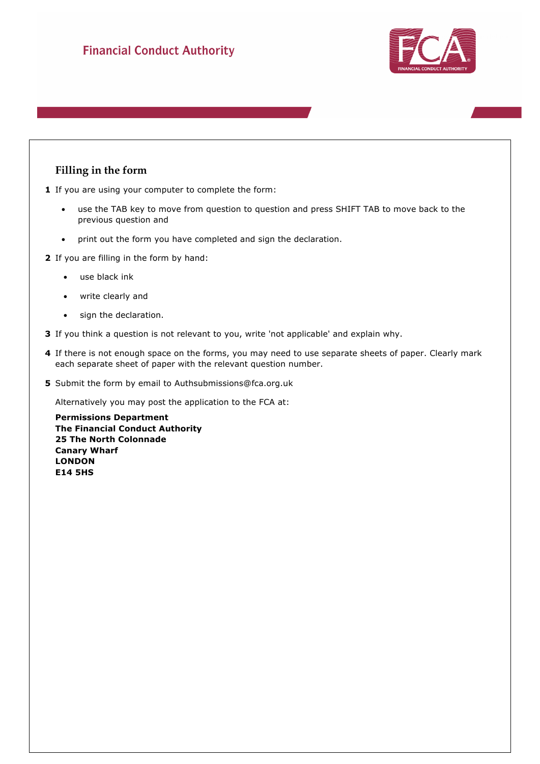

## **Filling in the form**

**1** If you are using your computer to complete the form:

- use the TAB key to move from question to question and press SHIFT TAB to move back to the previous question and
- print out the form you have completed and sign the declaration.
- **2** If you are filling in the form by hand:
	- use black ink
	- write clearly and
	- sign the declaration.
- **3** If you think a question is not relevant to you, write 'not applicable' and explain why.
- **4** If there is not enough space on the forms, you may need to use separate sheets of paper. Clearly mark each separate sheet of paper with the relevant question number.
- **5** Submit the form by email to Authsubmissions@fca.org.uk

Alternatively you may post the application to the FCA at:

**Permissions Department The Financial Conduct Authority 25 The North Colonnade Canary Wharf LONDON E14 5HS**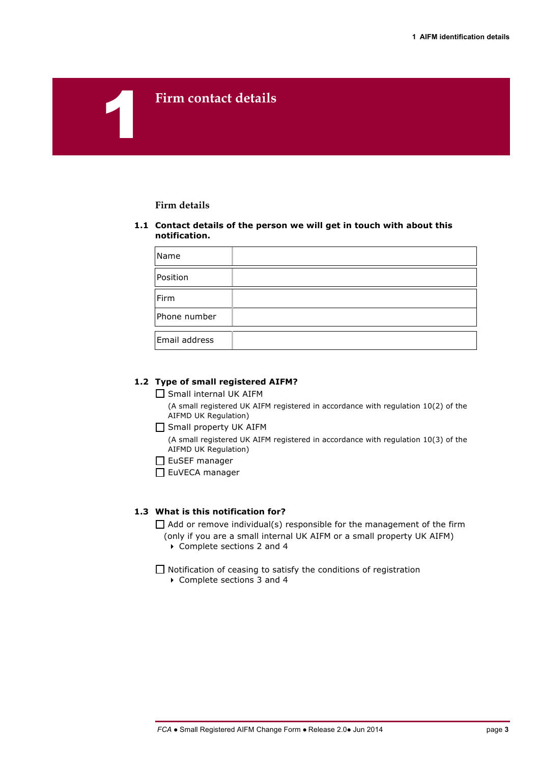## 1**Firm contact details**

#### **Firm details**

#### **1.1 Contact details of the person we will get in touch with about this notification.**

| Name          |  |
|---------------|--|
| Position      |  |
| Firm          |  |
| Phone number  |  |
| Email address |  |

#### **1.2 Type of small registered AIFM?**

 $\Box$  Small internal UK AIFM (A small registered UK AIFM registered in accordance with regulation 10(2) of the

AIFMD UK Regulation)  $\Box$  Small property UK AIFM

(A small registered UK AIFM registered in accordance with regulation 10(3) of the AIFMD UK Regulation)

 $\square$  EuSEF manager

EuVECA manager

## **1.3 What is this notification for?**

 $\Box$  Add or remove individual(s) responsible for the management of the firm

- (only if you are a small internal UK AIFM or a small property UK AIFM)
	- ▶ Complete sections 2 and 4

 $\Box$  Notification of ceasing to satisfy the conditions of registration

▶ Complete sections 3 and 4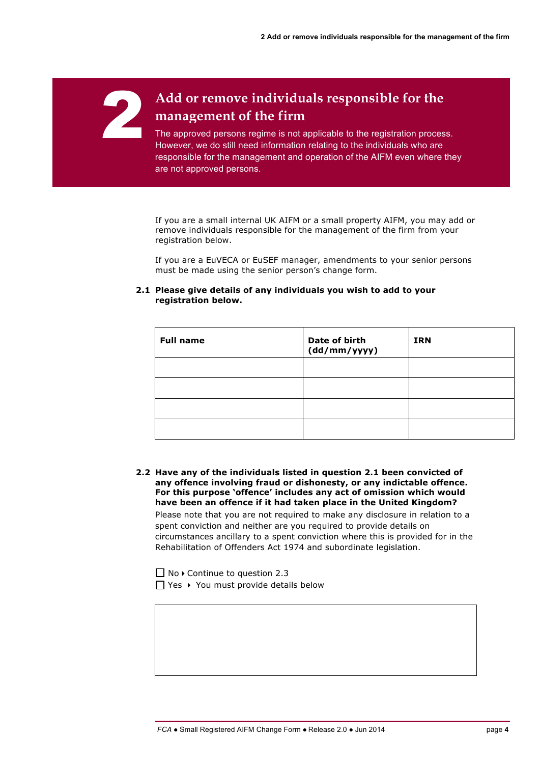# 2 **Add or remove individuals responsible for the management of the firm**

The approved persons regime is not applicable to the registration process. However, we do still need information relating to the individuals who are responsible for the management and operation of the AIFM even where they are not approved persons.

If you are a small internal UK AIFM or a small property AIFM, you may add or remove individuals responsible for the management of the firm from your registration below.

If you are a EuVECA or EuSEF manager, amendments to your senior persons must be made using the senior person's change form.

#### **2.1 Please give details of any individuals you wish to add to your registration below.**

| <b>Full name</b> | Date of birth<br>(dd/mm/yyyy) | <b>IRN</b> |
|------------------|-------------------------------|------------|
|                  |                               |            |
|                  |                               |            |
|                  |                               |            |
|                  |                               |            |

**2.2 Have any of the individuals listed in question 2.1 been convicted of any offence involving fraud or dishonesty, or any indictable offence. For this purpose 'offence' includes any act of omission which would have been an offence if it had taken place in the United Kingdom?** Please note that you are not required to make any disclosure in relation to a spent conviction and neither are you required to provide details on circumstances ancillary to a spent conviction where this is provided for in the Rehabilitation of Offenders Act 1974 and subordinate legislation.

 $\Box$  No  $\triangleright$  Continue to question 2.3  $\prod$  Yes  $\rightarrow$  You must provide details below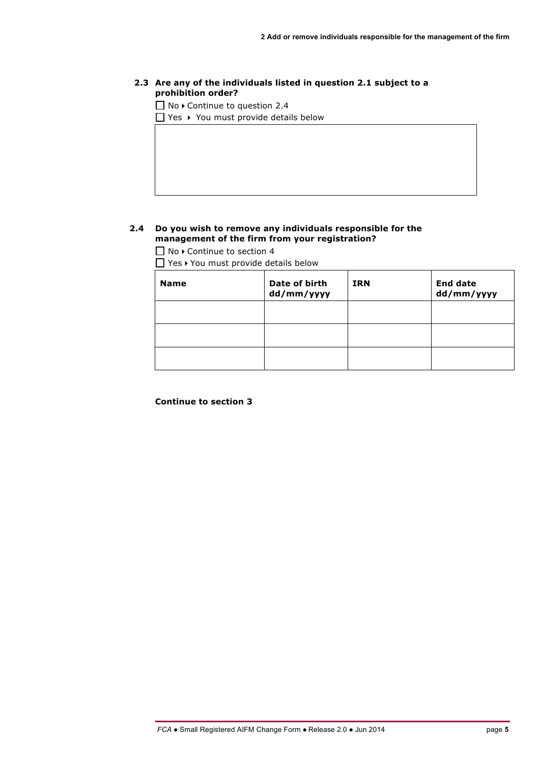## **2.3 Are any of the individuals listed in question 2.1 subject to a prohibition order?**

 $\Box$  No  $\triangleright$  Continue to question 2.4

 $\Box$  Yes  $\rightarrow$  You must provide details below

## **2.4 Do you wish to remove any individuals responsible for the management of the firm from your registration?**

 $\Box$  No  $\triangleright$  Continue to section 4

 $\Box$  Yes  $\rightarrow$  You must provide details below

| <b>Name</b> | Date of birth<br>dd/mm/yyyy | <b>IRN</b> | <b>End date</b><br>dd/mm/yyyy |
|-------------|-----------------------------|------------|-------------------------------|
|             |                             |            |                               |
|             |                             |            |                               |
|             |                             |            |                               |

**Continue to section 3**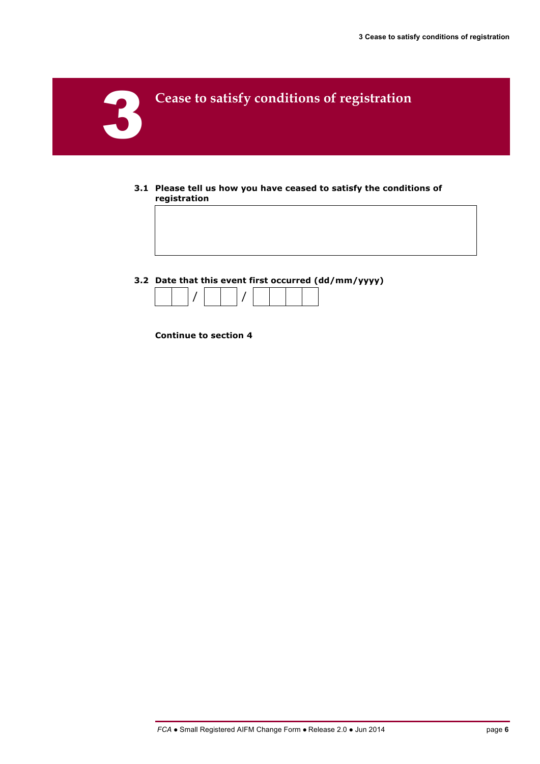

- **3.1 Please tell us how you have ceased to satisfy the conditions of registration**
- **3.2 Date that this event first occurred (dd/mm/yyyy)**



**Continue to section 4**